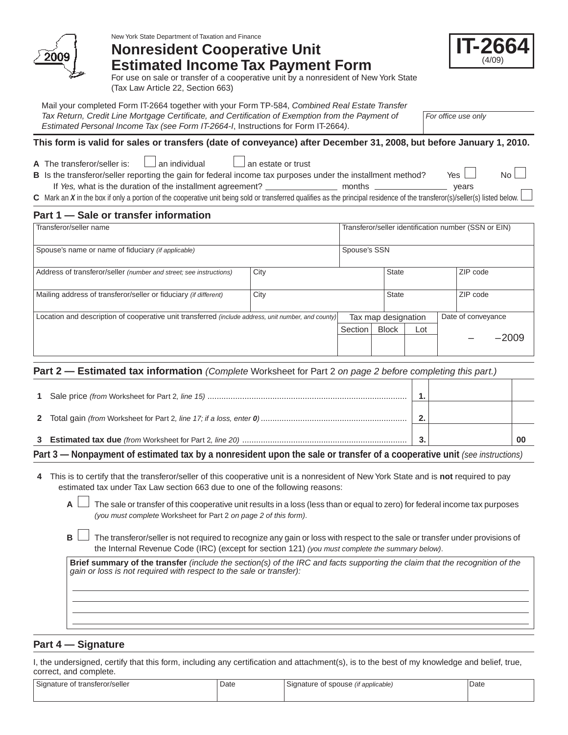

New York State Department of Taxation and Finance

# **Nonresident Cooperative Unit Estimated Income Tax Payment Form**



For use on sale or transfer of a cooperative unit by a nonresident of New York State (Tax Law Article 22, Section 663)

Mail your completed Form IT-2664 together with your Form TP-584, *Combined Real Estate Transfer*  Tax Return, Credit Line Mortgage Certificate, and Certification of Exemption from the Payment of *Estimated Personal Income Tax (see Form IT-2664-I*, Instructions for Form IT-2664*)*.

*For office use only*

## **This form is valid for sales or transfers (date of conveyance) after December 31, 2008, but before January 1, 2010.**

| The transferor/s |  |  |
|------------------|--|--|

**A** The transferor/seller is:  $\Box$  an individual  $\Box$  an estate or trust

**B** Is the transferor/seller reporting the gain for federal income tax purposes under the installment method? Yes  $\Box$  No If *Yes,* what is the duration of the installment agreement? months years

**C** Mark an *X* in the box if only a portion of the cooperative unit being sold or transferred qualifies as the principal residence of the transferor(s)/seller(s) listed below.

# **Part 1 — Sale or transfer information**

| Transferor/seller name                                                                              | Transferor/seller identification number (SSN or EIN) |              |                     |     |  |                    |         |
|-----------------------------------------------------------------------------------------------------|------------------------------------------------------|--------------|---------------------|-----|--|--------------------|---------|
| Spouse's name or name of fiduciary (if applicable)                                                  |                                                      | Spouse's SSN |                     |     |  |                    |         |
| Address of transferor/seller (number and street; see instructions)                                  | City                                                 |              | <b>State</b>        |     |  | ZIP code           |         |
| Mailing address of transferor/seller or fiduciary (if different)                                    | City                                                 |              | State               |     |  | ZIP code           |         |
| Location and description of cooperative unit transferred (include address, unit number, and county) |                                                      |              | Tax map designation |     |  | Date of conveyance |         |
|                                                                                                     |                                                      | Section      | <b>Block</b>        | Lot |  |                    |         |
|                                                                                                     |                                                      |              |                     |     |  |                    | $-2009$ |

## **Part 2 — Estimated tax information** *(Complete* Worksheet for Part 2 *on page 2 before completing this part.)*

| the contract of the contract of the contract of the contract of the contract of the contract of the contract of |   | . |  |
|-----------------------------------------------------------------------------------------------------------------|---|---|--|
|                                                                                                                 |   |   |  |
|                                                                                                                 | ຳ |   |  |
|                                                                                                                 |   |   |  |

# **Part 3 — Nonpayment of estimated tax by a nonresident upon the sale or transfer of a cooperative unit** *(see instructions)*

**4** This is to certify that the transferor/seller of this cooperative unit is a nonresident of New York State and is **not** required to pay estimated tax under Tax Law section 663 due to one of the following reasons:

**A**  $\Box$  The sale or transfer of this cooperative unit results in a loss (less than or equal to zero) for federal income tax purposes *(you must complete* Worksheet for Part 2 *on page 2 of this form)*.

**B**  $\Box$  The transferor/seller is not required to recognize any gain or loss with respect to the sale or transfer under provisions of the Internal Revenue Code (IRC) (except for section 121) *(you must complete the summary below)*.

**Brief summary of the transfer** *(include the section(s) of the IRC and facts supporting the claim that the recognition of the gain or loss is not required with respect to the sale or transfer):*

## **Part 4 — Signature**

I, the undersigned, certify that this form, including any certification and attachment(s), is to the best of my knowledge and belief, true, correct, and complete.

| $\sim$<br>Signature of transferor/seller | Date | Signature of spouse<br>(if applicable) | Date |
|------------------------------------------|------|----------------------------------------|------|
|                                          |      |                                        |      |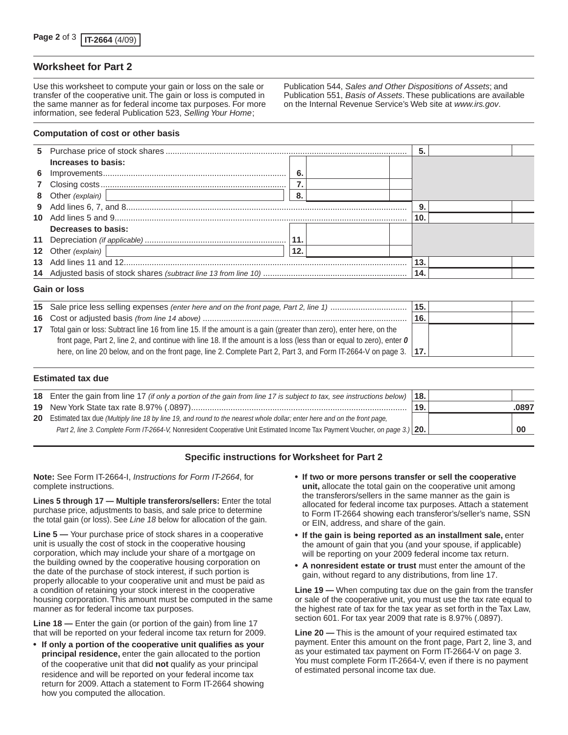## **Worksheet for Part 2**

Use this worksheet to compute your gain or loss on the sale or transfer of the cooperative unit. The gain or loss is computed in the same manner as for federal income tax purposes. For more information, see federal Publication 523, *Selling Your Home*;

#### **Computation of cost or other basis**

|                     |     | 5.  |  |
|---------------------|-----|-----|--|
| Increases to basis: |     |     |  |
|                     | -6. |     |  |
|                     |     |     |  |
|                     | 8.  |     |  |
|                     |     | 9.  |  |
|                     |     | 10. |  |
| Decreases to basis: |     |     |  |
|                     |     |     |  |
| 12 Other (explain)  | 12. |     |  |
|                     |     | 13. |  |
|                     |     | 14. |  |
| Gain or loss        |     |     |  |

|    |                                                                                                                             | 15. |  |
|----|-----------------------------------------------------------------------------------------------------------------------------|-----|--|
|    |                                                                                                                             | 16. |  |
| 17 | Total gain or loss: Subtract line 16 from line 15. If the amount is a gain (greater than zero), enter here, on the          |     |  |
|    | front page, Part 2, line 2, and continue with line 18. If the amount is a loss (less than or equal to zero), enter $\theta$ |     |  |
|    | here, on line 20 below, and on the front page, line 2. Complete Part 2, Part 3, and Form IT-2664-V on page 3.   17.         |     |  |
|    |                                                                                                                             |     |  |

### **Estimated tax due**

| 18 Enter the gain from line 17 (if only a portion of the gain from line 17 is subject to tax, see instructions below)       | 18.1 |       |  |
|-----------------------------------------------------------------------------------------------------------------------------|------|-------|--|
|                                                                                                                             | 19.  | .0897 |  |
| 20 Estimated tax due (Multiply line 18 by line 19, and round to the nearest whole dollar; enter here and on the front page, |      |       |  |
| Part 2, line 3. Complete Form IT-2664-V, Nonresident Cooperative Unit Estimated Income Tax Payment Voucher, on page 3.) 20. |      |       |  |

## **Specific instructions for Worksheet for Part 2**

**Note:** See Form IT-2664-I, *Instructions for Form IT-2664*, for complete instructions.

**Lines 5 through 17 — Multiple transferors/sellers:** Enter the total purchase price, adjustments to basis, and sale price to determine the total gain (or loss). See *Line 18* below for allocation of the gain.

**Line 5 —** Your purchase price of stock shares in a cooperative unit is usually the cost of stock in the cooperative housing corporation, which may include your share of a mortgage on the building owned by the cooperative housing corporation on the date of the purchase of stock interest, if such portion is properly allocable to your cooperative unit and must be paid as a condition of retaining your stock interest in the cooperative housing corporation. This amount must be computed in the same manner as for federal income tax purposes.

**Line 18 —** Enter the gain (or portion of the gain) from line 17 that will be reported on your federal income tax return for 2009.

• **If only a portion of the cooperative unit qualifies as your principal residence,** enter the gain allocated to the portion of the cooperative unit that did **not** qualify as your principal residence and will be reported on your federal income tax return for 2009. Attach a statement to Form IT-2664 showing how you computed the allocation.

• **If two or more persons transfer or sell the cooperative unit,** allocate the total gain on the cooperative unit among the transferors/sellers in the same manner as the gain is allocated for federal income tax purposes. Attach a statement to Form IT-2664 showing each transferor's/seller's name, SSN or EIN, address, and share of the gain.

Publication 544, *Sales and Other Dispositions of Assets*; and Publication 551, *Basis of Assets*. These publications are available on the Internal Revenue Service's Web site at *www.irs.gov*.

- • **If the gain is being reported as an installment sale,** enter the amount of gain that you (and your spouse, if applicable) will be reporting on your 2009 federal income tax return.
- • **A nonresident estate or trust** must enter the amount of the gain, without regard to any distributions, from line 17.

**Line 19 —** When computing tax due on the gain from the transfer or sale of the cooperative unit, you must use the tax rate equal to the highest rate of tax for the tax year as set forth in the Tax Law, section 601. For tax year 2009 that rate is 8.97% (.0897).

**Line 20 —** This is the amount of your required estimated tax payment. Enter this amount on the front page, Part 2, line 3, and as your estimated tax payment on Form IT-2664-V on page 3. You must complete Form IT-2664-V, even if there is no payment of estimated personal income tax due.